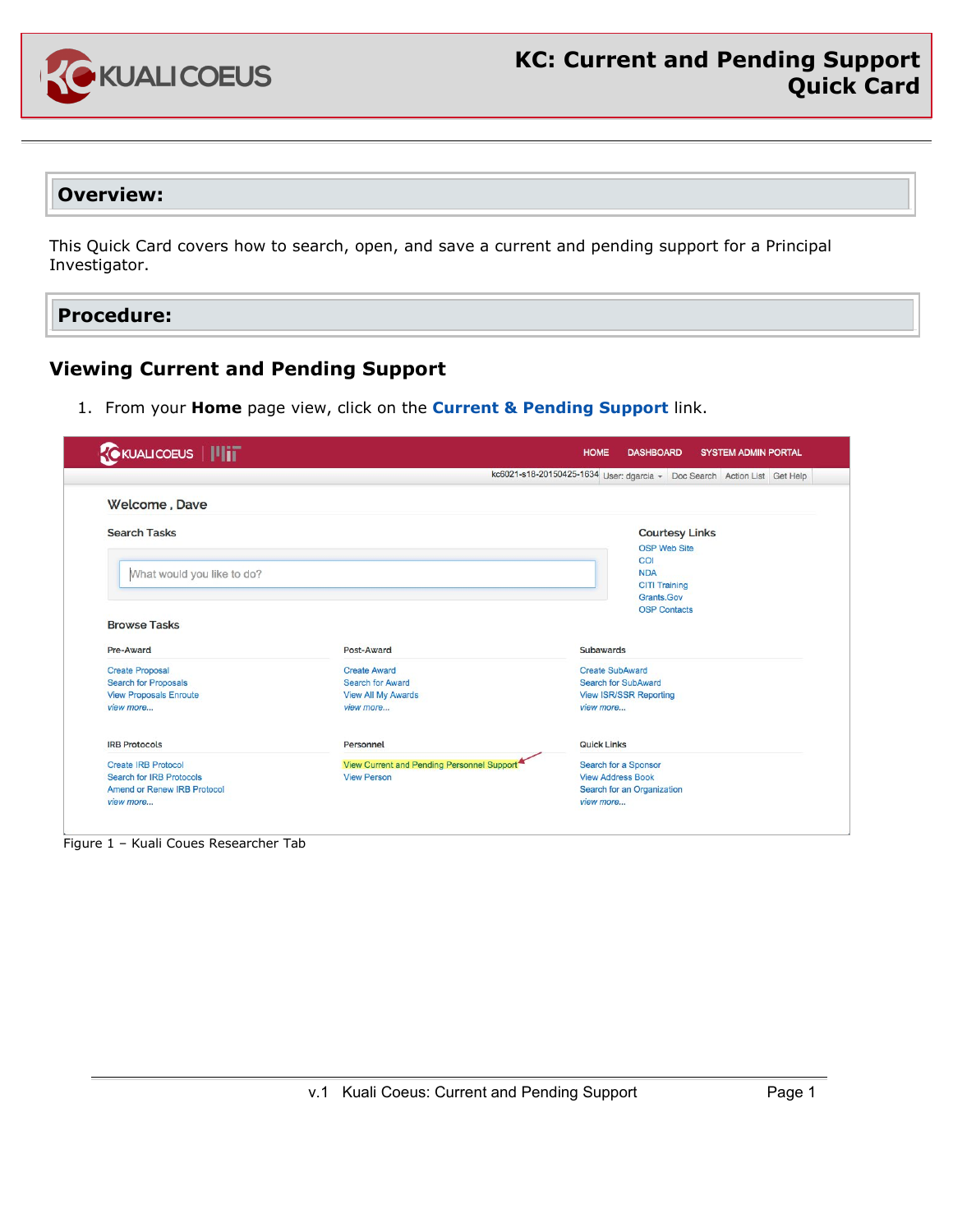

## **Overview:**

This Quick Card covers how to search, open, and save a current and pending support for a Principal Investigator.

**Procedure:**

## **Viewing Current and Pending Support**

1. From your **Home** page view, click on the **Current & Pending Support** link.

|                                    |                                            | kc6021-s18-20150425-1634 User: dgarcia - Doc Search Action List Get Help |
|------------------------------------|--------------------------------------------|--------------------------------------------------------------------------|
| Welcome, Dave                      |                                            |                                                                          |
| <b>Search Tasks</b>                |                                            | <b>Courtesy Links</b>                                                    |
|                                    |                                            | <b>OSP Web Site</b>                                                      |
|                                    |                                            | <b>COI</b>                                                               |
| What would you like to do?         |                                            | <b>NDA</b>                                                               |
|                                    |                                            | <b>CITI Training</b>                                                     |
|                                    |                                            | Grants.Gov<br><b>OSP Contacts</b>                                        |
| <b>Browse Tasks</b>                |                                            |                                                                          |
|                                    |                                            |                                                                          |
| Pre-Award                          | Post-Award                                 | Subawards                                                                |
| <b>Create Proposal</b>             | <b>Create Award</b>                        | <b>Create SubAward</b>                                                   |
| <b>Search for Proposals</b>        | <b>Search for Award</b>                    | <b>Search for SubAward</b>                                               |
| <b>View Proposals Enroute</b>      | <b>View All My Awards</b>                  | <b>View ISR/SSR Reporting</b>                                            |
| view more                          | view more                                  | view more                                                                |
| <b>IRB Protocols</b>               | Personnel                                  | <b>Quick Links</b>                                                       |
| <b>Create IRB Protocol</b>         | View Current and Pending Personnel Support | Search for a Sponsor                                                     |
| <b>Search for IRB Protocols</b>    | <b>View Person</b>                         | <b>View Address Book</b>                                                 |
| <b>Amend or Renew IRB Protocol</b> |                                            | Search for an Organization                                               |
|                                    |                                            |                                                                          |

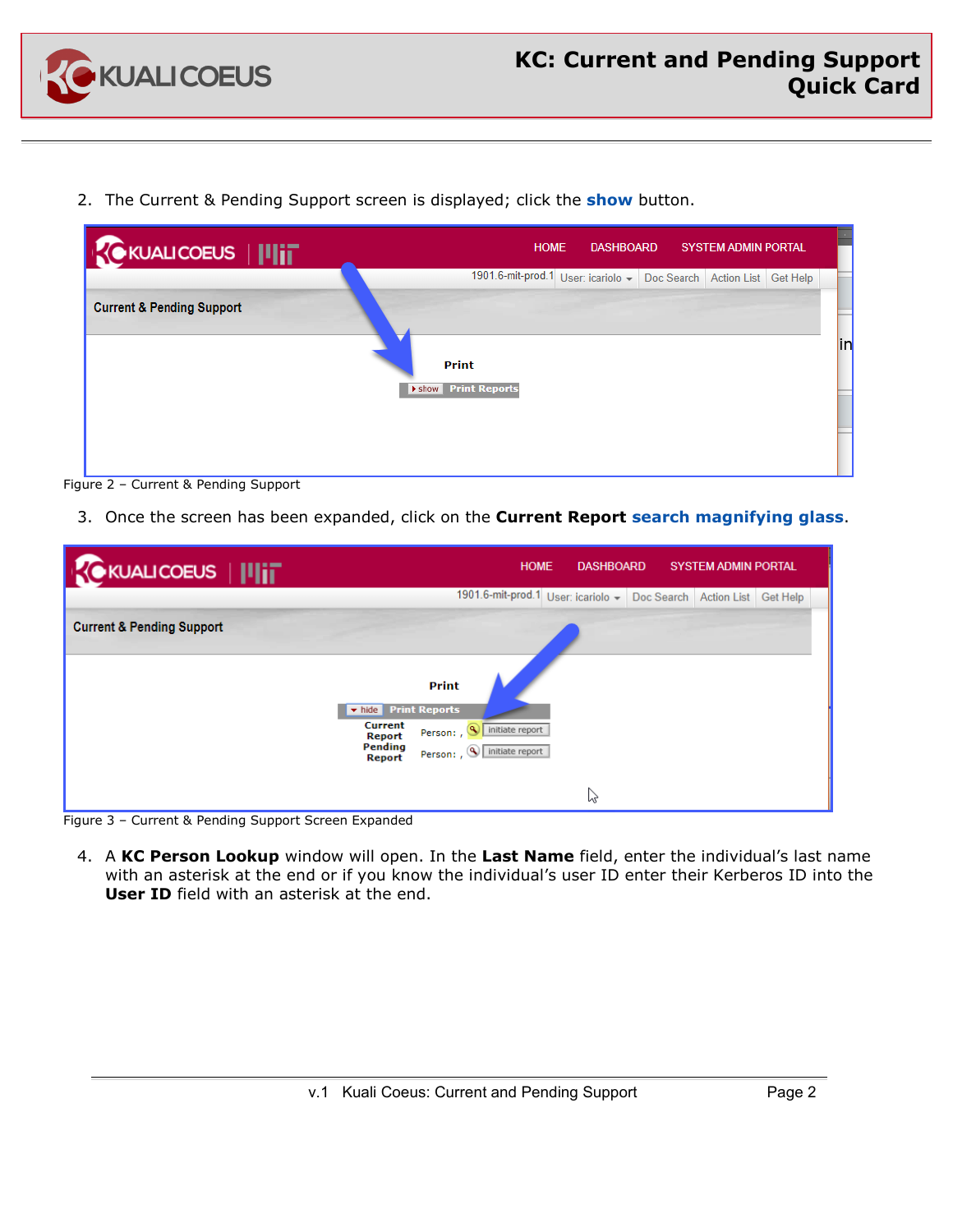

2. The Current & Pending Support screen is displayed; click the **show** button.

| CKUALICOEUS   IIIIT                  | <b>HOME</b>                                                            | <b>DASHBOARD</b> | <b>SYSTEM ADMIN PORTAL</b> |            |
|--------------------------------------|------------------------------------------------------------------------|------------------|----------------------------|------------|
|                                      | 1901.6-mit-prod.1 User: icariolo - Doc Search   Action List   Get Help |                  |                            |            |
| <b>Current &amp; Pending Support</b> |                                                                        |                  |                            |            |
|                                      |                                                                        |                  |                            |            |
|                                      | <b>Print</b>                                                           |                  |                            | <b>lin</b> |
|                                      | I show Print Reports                                                   |                  |                            |            |
|                                      |                                                                        |                  |                            |            |
|                                      |                                                                        |                  |                            |            |
|                                      |                                                                        |                  |                            |            |
|                                      |                                                                        |                  |                            |            |



3. Once the screen has been expanded, click on the **Current Report search magnifying glass**.

| <b>KOKUALICOEUS                </b>  |                                                         | <b>HOME</b>                        | <b>DASHBOARD</b> |            | <b>SYSTEM ADMIN PORTAL</b> |          |
|--------------------------------------|---------------------------------------------------------|------------------------------------|------------------|------------|----------------------------|----------|
|                                      |                                                         | 1901.6-mit-prod.1 User: icariolo - |                  | Doc Search | <b>Action List</b>         | Get Help |
| <b>Current &amp; Pending Support</b> |                                                         |                                    |                  |            |                            |          |
|                                      |                                                         |                                    |                  |            |                            |          |
|                                      | <b>Print</b><br>v hide Print Reports                    |                                    |                  |            |                            |          |
|                                      | Current<br>Person: , 9 initiate report<br>Report        |                                    |                  |            |                            |          |
|                                      | Pending<br>Person: , 4 initiate report<br><b>Report</b> |                                    |                  |            |                            |          |
|                                      |                                                         |                                    | ↳                |            |                            |          |

Figure 3 – Current & Pending Support Screen Expanded

4. A **KC Person Lookup** window will open. In the **Last Name** field, enter the individual's last name with an asterisk at the end or if you know the individual's user ID enter their Kerberos ID into the **User ID** field with an asterisk at the end.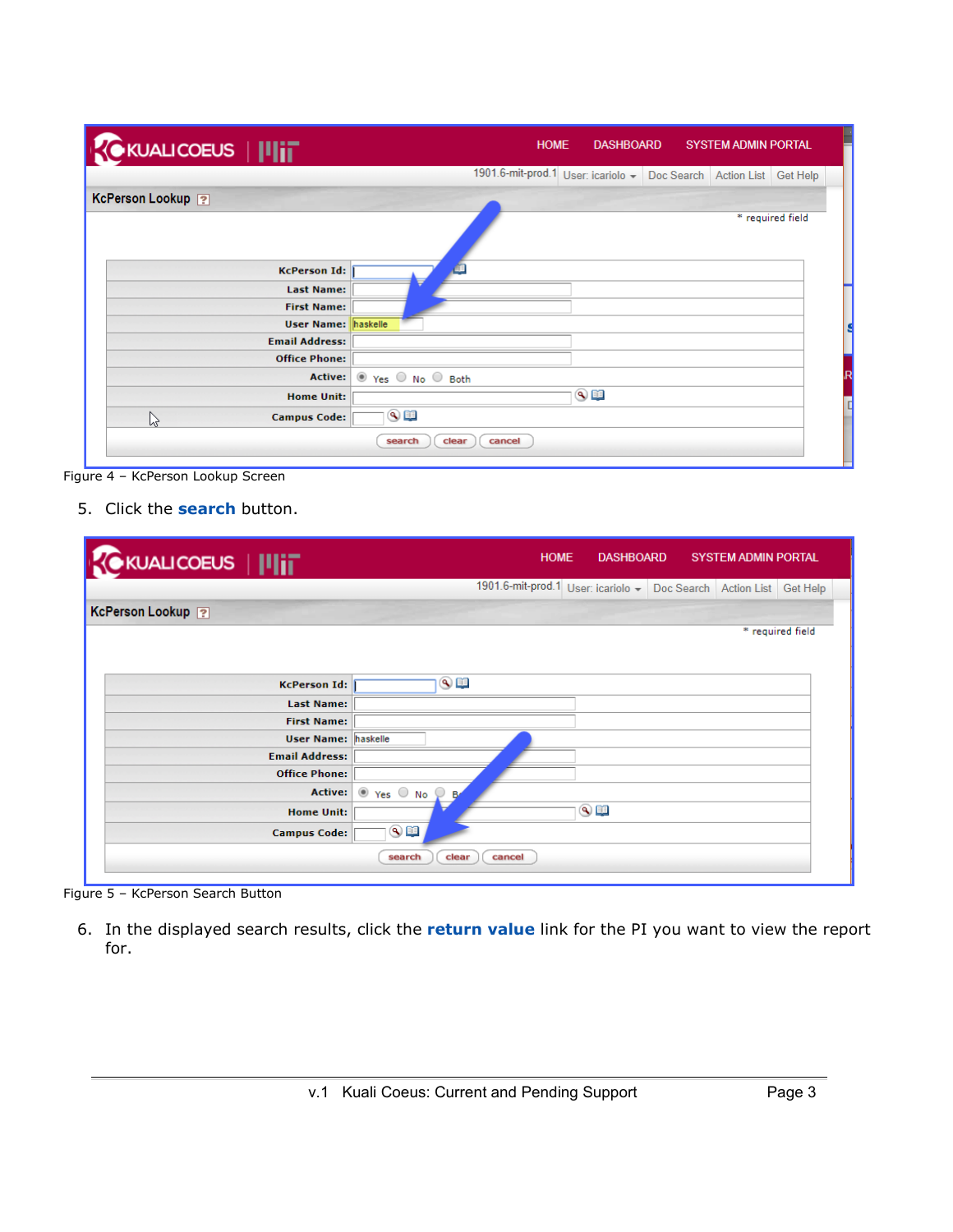| <b>KOKUALICOEUS   ILIT</b> | <b>SYSTEM ADMIN PORTAL</b><br><b>HOME</b><br><b>DASHBOARD</b>            |
|----------------------------|--------------------------------------------------------------------------|
|                            | 1901.6-mit-prod.1 User: icariolo -<br>Doc Search Action List<br>Get Help |
| KcPerson Lookup ?          |                                                                          |
|                            | * required field                                                         |
| <b>KcPerson Id:</b>        |                                                                          |
| <b>Last Name:</b>          |                                                                          |
| <b>First Name:</b>         |                                                                          |
| <b>User Name: haskelle</b> |                                                                          |
| <b>Email Address:</b>      |                                                                          |
| <b>Office Phone:</b>       |                                                                          |
| <b>Active:</b>             | ⊙ Yes ○ No ○ Both                                                        |
| <b>Home Unit:</b>          | $\overline{\mathbb{Q}}$                                                  |
| ピ<br><b>Campus Code:</b>   | $\bullet$                                                                |
|                            | clear<br>cancel<br>search                                                |

Figure 4 – KcPerson Lookup Screen

## 5. Click the **search** button.

| <b>KOKUALICOEUS   IIIIT</b> |                                      | <b>HOME</b><br><b>DASHBOARD</b>                             | <b>SYSTEM ADMIN PORTAL</b> |                  |
|-----------------------------|--------------------------------------|-------------------------------------------------------------|----------------------------|------------------|
|                             |                                      | 1901.6-mit-prod.1 User: icariolo - Doc Search   Action List |                            | Get Help         |
| KcPerson Lookup ?           |                                      |                                                             |                            |                  |
|                             |                                      |                                                             |                            | * required field |
|                             |                                      |                                                             |                            |                  |
| <b>KcPerson Id:</b>         | $\overline{\textcircled{\tiny{12}}}$ |                                                             |                            |                  |
| <b>Last Name:</b>           |                                      |                                                             |                            |                  |
| <b>First Name:</b>          |                                      |                                                             |                            |                  |
| <b>User Name: haskelle</b>  |                                      |                                                             |                            |                  |
| <b>Email Address:</b>       |                                      |                                                             |                            |                  |
| <b>Office Phone:</b>        |                                      |                                                             |                            |                  |
| Active:                     | ⊙ Yes ○ No ♀ Br                      |                                                             |                            |                  |
| <b>Home Unit:</b>           |                                      | $\overline{\text{Q}}$                                       |                            |                  |
| <b>Campus Code:</b>         | $\overline{\mathbb{S}}$ of           |                                                             |                            |                  |
|                             | clear<br>search<br>cancel            |                                                             |                            |                  |
|                             |                                      |                                                             |                            |                  |

Figure 5 – KcPerson Search Button

6. In the displayed search results, click the **return value** link for the PI you want to view the report for.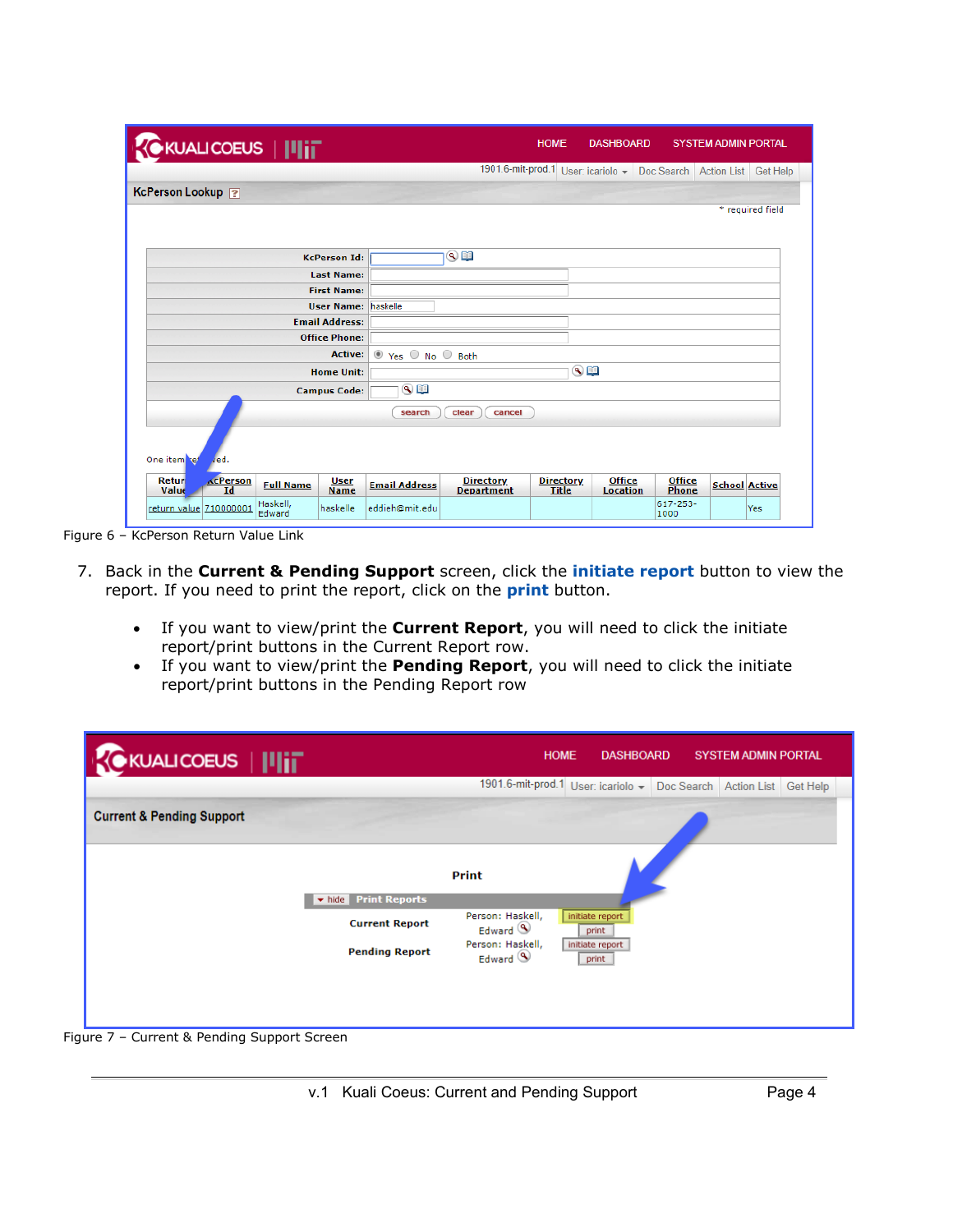| <b>K</b> KUALICOEUS   IIIIT                                                               |                      |                                       | <b>HOME</b>                      | <b>DASHBOARD</b>                                                   |                        |                      | <b>SYSTEM ADMIN PORTAL</b> |
|-------------------------------------------------------------------------------------------|----------------------|---------------------------------------|----------------------------------|--------------------------------------------------------------------|------------------------|----------------------|----------------------------|
|                                                                                           |                      |                                       |                                  | 1901.6-mit-prod.1 User: icariolo - Doc Search Action List Get Help |                        |                      |                            |
| KcPerson Lookup ?                                                                         |                      |                                       |                                  |                                                                    |                        |                      |                            |
|                                                                                           |                      |                                       |                                  |                                                                    |                        |                      | * required field           |
|                                                                                           |                      |                                       |                                  |                                                                    |                        |                      |                            |
| <b>KcPerson Id:</b>                                                                       |                      | $\bullet$ in                          |                                  |                                                                    |                        |                      |                            |
| <b>Last Name:</b>                                                                         |                      |                                       |                                  |                                                                    |                        |                      |                            |
| <b>First Name:</b>                                                                        |                      |                                       |                                  |                                                                    |                        |                      |                            |
| <b>User Name:</b>                                                                         | haskelle             |                                       |                                  |                                                                    |                        |                      |                            |
| <b>Email Address:</b><br><b>Office Phone:</b>                                             |                      |                                       |                                  |                                                                    |                        |                      |                            |
| <b>Active:</b>                                                                            |                      |                                       |                                  |                                                                    |                        |                      |                            |
| <b>Home Unit:</b>                                                                         | ● Yes ○ No ○ Both    |                                       | $\bullet$                        |                                                                    |                        |                      |                            |
|                                                                                           | $\bullet$            |                                       |                                  |                                                                    |                        |                      |                            |
| <b>Campus Code:</b>                                                                       |                      |                                       |                                  |                                                                    |                        |                      |                            |
|                                                                                           | search               | clear<br>cancel                       |                                  |                                                                    |                        |                      |                            |
| One item ref<br>ved.                                                                      |                      |                                       |                                  |                                                                    |                        |                      |                            |
| <b>KcPerson</b><br>Retur<br><b>User</b><br><b>Full Name</b><br>Value<br>Id<br><b>Name</b> | <b>Email Address</b> | <b>Directory</b><br><b>Department</b> | <b>Directory</b><br><b>Title</b> | <b>Office</b><br><b>Location</b>                                   | <b>Office</b><br>Phone | <b>School Active</b> |                            |
| Haskell,<br>return value 710000001<br>haskelle<br>Edward                                  | eddieh@mit.edu       |                                       |                                  |                                                                    | 617-253-<br>1000       |                      | Yes                        |

Figure 6 – KcPerson Return Value Link

- 7. Back in the **Current & Pending Support** screen, click the **initiate report** button to view the report. If you need to print the report, click on the **print** button.
	- If you want to view/print the **Current Report**, you will need to click the initiate report/print buttons in the Current Report row.
	- If you want to view/print the **Pending Report**, you will need to click the initiate report/print buttons in the Pending Report row

|                                      |                       | 1901.6-mit-prod.1 User: icariolo -        |                          | Doc Search Action List | Get Help |
|--------------------------------------|-----------------------|-------------------------------------------|--------------------------|------------------------|----------|
| <b>Current &amp; Pending Support</b> |                       |                                           |                          |                        |          |
|                                      |                       |                                           |                          |                        |          |
|                                      |                       | <b>Print</b>                              |                          |                        |          |
|                                      | v hide Print Reports  |                                           |                          |                        |          |
|                                      | <b>Current Report</b> | Person: Haskell,<br>Edward $\circledcirc$ | initiate report<br>print |                        |          |
|                                      | <b>Pending Report</b> | Person: Haskell,<br>Edward <sup>(4)</sup> | initiate report<br>print |                        |          |
|                                      |                       |                                           |                          |                        |          |
|                                      |                       |                                           |                          |                        |          |